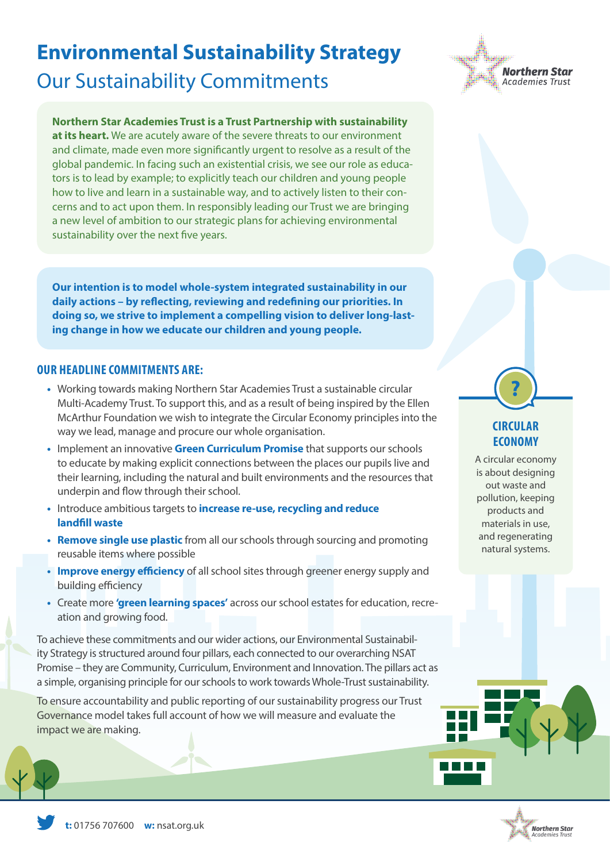# **Environmental Sustainability Strategy** Our Sustainability Commitments

#### **Northern Star Academies Trust is a Trust Partnership with sustainability**

**at its heart.** We are acutely aware of the severe threats to our environment and climate, made even more significantly urgent to resolve as a result of the global pandemic. In facing such an existential crisis, we see our role as educators is to lead by example; to explicitly teach our children and young people how to live and learn in a sustainable way, and to actively listen to their concerns and to act upon them. In responsibly leading our Trust we are bringing a new level of ambition to our strategic plans for achieving environmental sustainability over the next five years.

**Our intention is to model whole-system integrated sustainability in our daily actions – by reflecting, reviewing and redefining our priorities. In doing so, we strive to implement a compelling vision to deliver long-lasting change in how we educate our children and young people.**

#### **OUR HEADLINE COMMITMENTS ARE:**

- **•** Working towards making Northern Star Academies Trust a sustainable circular Multi-Academy Trust. To support this, and as a result of being inspired by the Ellen McArthur Foundation we wish to integrate the Circular Economy principles into the way we lead, manage and procure our whole organisation.
- **•** Implement an innovative **Green Curriculum Promise** that supports our schools to educate by making explicit connections between the places our pupils live and their learning, including the natural and built environments and the resources that underpin and flow through their school.
- **•** Introduce ambitious targets to **increase re-use, recycling and reduce landfill waste**
- **• Remove single use plastic** from all our schools through sourcing and promoting reusable items where possible
- **• Improve energy efficiency** of all school sites through greener energy supply and building efficiency
- **•** Create more **'green learning spaces'** across our school estates for education, recreation and growing food.

To achieve these commitments and our wider actions, our Environmental Sustainability Strategy is structured around four pillars, each connected to our overarching NSAT Promise – they are Community, Curriculum, Environment and Innovation. The pillars act as a simple, organising principle for our schools to work towards Whole-Trust sustainability.

To ensure accountability and public reporting of our sustainability progress our Trust Governance model takes full account of how we will measure and evaluate the impact we are making.



### **CIRCULAR ECONOMY**

**?**

A circular economy is about designing out waste and pollution, keeping products and materials in use, and regenerating natural systems.